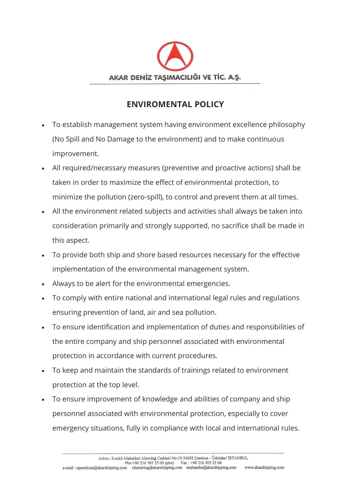

## **ENVIROMENTAL POLICY**

- To establish management system having environment excellence philosophy (No Spill and No Damage to the environment) and to make continuous improvement.
- All required/necessary measures (preventive and proactive actions) shall be taken in order to maximize the effect of environmental protection, to minimize the pollution (zero-spill), to control and prevent them at all times.
- All the environment related subjects and activities shall always be taken into consideration primarily and strongly supported, no sacrifice shall be made in this aspect.
- To provide both ship and shore based resources necessary for the effective implementation of the environmental management system.
- Always to be alert for the environmental emergencies.
- To comply with entire national and international legal rules and regulations ensuring prevention of land, air and sea pollution.
- To ensure identification and implementation of duties and responsibilities of the entire company and ship personnel associated with environmental protection in accordance with current procedures.
- To keep and maintain the standards of trainings related to environment protection at the top level.
- To ensure improvement of knowledge and abilities of company and ship personnel associated with environmental protection, especially to cover emergency situations, fully in compliance with local and international rules.